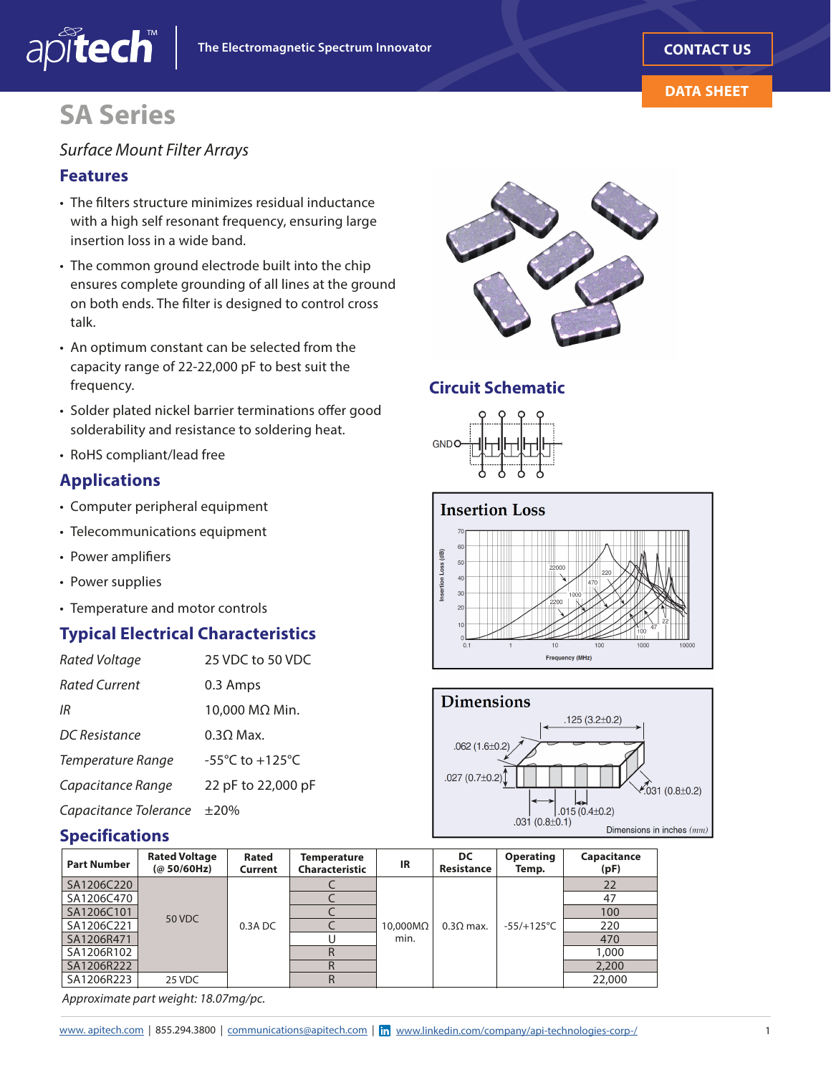

#### **DATA SHEET**

# **SA Series**

#### *Surface Mount Filter Arrays*

#### **Features**

apitech

- The flters structure minimizes residual inductance with a high self resonant frequency, ensuring large insertion loss in a wide band.
- The common ground electrode built into the chip ensures complete grounding of all lines at the ground on both ends. The flter is designed to control cross talk.
- An optimum constant can be selected from the capacity range of 22-22,000 pF to best suit the frequency.
- Solder plated nickel barrier terminations offer good solderability and resistance to soldering heat.
- RoHS compliant/lead free

### **Applications**

- Computer peripheral equipment
- Telecommunications equipment
- Power amplifers
- Power supplies
- Temperature and motor controls

### **Typical Electrical Characteristics**

| <b>Rated Voltage</b>  | 25 VDC to 50 VDC                    |
|-----------------------|-------------------------------------|
| <b>Rated Current</b>  | 0.3 Amps                            |
| IR                    | 10,000 MΩ Min.                      |
| DC Resistance         | $0.30$ Max.                         |
| Temperature Range     | $-55^{\circ}$ C to $+125^{\circ}$ C |
| Capacitance Range     | 22 pF to 22,000 pF                  |
| Capacitance Tolerance | $\pm 20\%$                          |

#### **Specifications**



*Approximate part weight: 18.07mg/pc.* 



#### **Circuit Schematic**



#### **Insertion Loss**